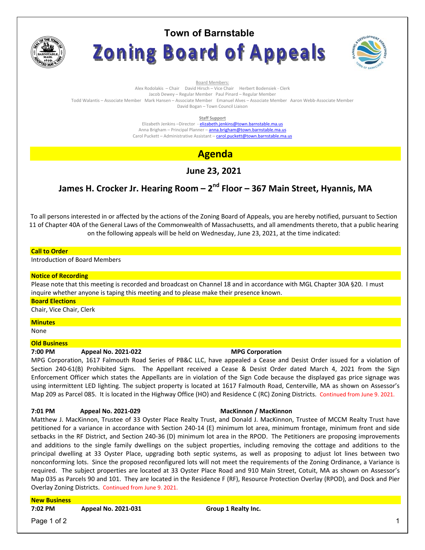

# **Town of Barnstable** Zoning Board of Appeals



Board Members: Alex Rodolakis – Chair David Hirsch – Vice Chair Herbert Bodensiek - Clerk Jacob Dewey – Regular Member Paul Pinard – Regular Member Todd Walantis – Associate Member Mark Hansen – Associate Member Emanuel Alves – Associate Member Aaron Webb-Associate Member David Bogan – Town Council Liaison

**Staff Support** 

Elizabeth Jenkins -Director - elizabeth.jenkins@town.barnstable.ma.us Anna Brigham - Principal Planner - anna.brigham@town.barnstable.ma.us Carol Puckett – Administrative Assistant – carol.puckett@town.barnstable.ma.us

# **Agenda**

## **June 23, 2021**

**James H. Crocker Jr. Hearing Room – 2nd Floor – 367 Main Street, Hyannis, MA** 

To all persons interested in or affected by the actions of the Zoning Board of Appeals, you are hereby notified, pursuant to Section 11 of Chapter 40A of the General Laws of the Commonwealth of Massachusetts, and all amendments thereto, that a public hearing on the following appeals will be held on Wednesday, June 23, 2021, at the time indicated:

#### **Call to Order**

Introduction of Board Members

#### **Notice of Recording**

Please note that this meeting is recorded and broadcast on Channel 18 and in accordance with MGL Chapter 30A §20. I must inquire whether anyone is taping this meeting and to please make their presence known.

#### **Board Elections**

Chair, Vice Chair, Clerk

#### **Minutes**

None

### **Old Business**

#### **7:00 PM Appeal No. 2021-022 MPG Corporation**

MPG Corporation, 1617 Falmouth Road Series of PB&C LLC, have appealed a Cease and Desist Order issued for a violation of Section 240-61(B) Prohibited Signs. The Appellant received a Cease & Desist Order dated March 4, 2021 from the Sign Enforcement Officer which states the Appellants are in violation of the Sign Code because the displayed gas price signage was using intermittent LED lighting. The subject property is located at 1617 Falmouth Road, Centerville, MA as shown on Assessor's Map 209 as Parcel 085. It is located in the Highway Office (HO) and Residence C (RC) Zoning Districts. Continued from June 9. 2021.

#### **7:01 PM Appeal No. 2021-029 MacKinnon / MacKinnon**

Matthew J. MacKinnon, Trustee of 33 Oyster Place Realty Trust, and Donald J. MacKinnon, Trustee of MCCM Realty Trust have petitioned for a variance in accordance with Section 240-14 (E) minimum lot area, minimum frontage, minimum front and side setbacks in the RF District, and Section 240-36 (D) minimum lot area in the RPOD. The Petitioners are proposing improvements and additions to the single family dwellings on the subject properties, including removing the cottage and additions to the principal dwelling at 33 Oyster Place, upgrading both septic systems, as well as proposing to adjust lot lines between two nonconforming lots. Since the proposed reconfigured lots will not meet the requirements of the Zoning Ordinance, a Variance is required. The subject properties are located at 33 Oyster Place Road and 910 Main Street, Cotuit, MA as shown on Assessor's Map 035 as Parcels 90 and 101. They are located in the Residence F (RF), Resource Protection Overlay (RPOD), and Dock and Pier Overlay Zoning Districts. Continued from June 9. 2021.

#### **New Business**

**7:02 PM Appeal No. 2021-031 Group 1 Realty Inc.** 

Page 1 of 2  $\hphantom{\ddots}$